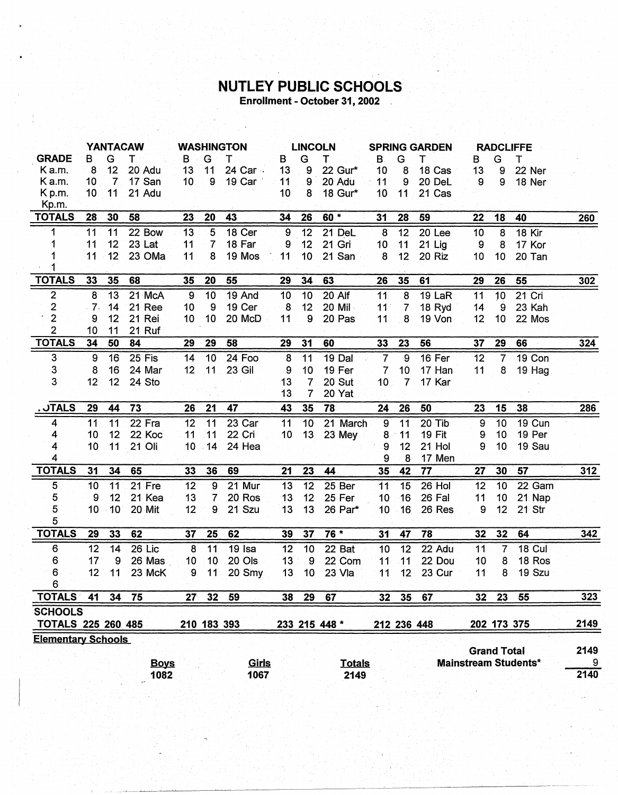## **NUTLEY PUBLIC SCHOOLS**<br>Enrollment - October 31, 2002

|                                                                                                                         |                 |                 | <b>YANTACAW</b> |                 |                          | <b>WASHINGTON</b> |                 | <b>LINCOLN</b>      |               | <b>SPRING GARDEN</b> |                 |          |                | <b>RADCLIFFE</b> |               |      |
|-------------------------------------------------------------------------------------------------------------------------|-----------------|-----------------|-----------------|-----------------|--------------------------|-------------------|-----------------|---------------------|---------------|----------------------|-----------------|----------|----------------|------------------|---------------|------|
| <b>GRADE</b>                                                                                                            | B               | G               | т               | B.              | G                        | т                 | в               | G                   | Τ             | $\mathbf{B}$         | G               | т        | в              | Ġ                | Т             |      |
| K a.m.                                                                                                                  | 8               | 12              | 20 Adu          | 13              | 11                       | 24 Car ·          | 13              | 9                   | 22 Gur*       | 10                   | 8               | 18 Cas   | 13             | 9                | 22 Ner        |      |
| K a.m.                                                                                                                  | 10 <sub>1</sub> | $\overline{7}$  | 17 San          | 10              | 9                        | 19 Car            | 11              | 9                   | 20 Adu        | 11                   | 9               | 20 DeL   | 9              | $\mathbf{9}$     | 18 Ner        |      |
| K <sub>p.m.</sub>                                                                                                       | 10              | 11              | 21 Adu          |                 |                          |                   | 10              | 8                   | 18 Gur*       | 10 <sub>1</sub>      | 11              | 21 Cas   |                |                  |               |      |
| Kp.m.                                                                                                                   |                 |                 |                 |                 |                          |                   |                 |                     |               |                      |                 |          |                |                  |               |      |
| <b>TOTALS</b>                                                                                                           | 28              | 30              | 58              | 23              | 20                       | 43                | 34              | 26                  | 60 *          | 31                   | 28              | 59       | 22             | 18               | 40            | 260  |
| 1                                                                                                                       | 11              | 11              | 22 Bow          | 13              | $5\phantom{1}$           | 18 Cer            | 9               | 12                  | 21 DeL        | $\boldsymbol{8}$     | 12              | 20 Lee   | 10             | 8                | 18 Kir        |      |
| 1                                                                                                                       | 11              | 12 <sub>2</sub> | 23 Lat          | 11              | $\overline{7}$           | 18 Far            | 9               | 12                  | 21 Gri        | 10                   | 11              | $21$ Lig | 9              | 8                | 17 Kor        |      |
|                                                                                                                         | 11              | 12 <sup>°</sup> | 23 OMa          | 11              | 8                        | 19 Mos            | 11              | 10                  | 21 San        | $\boldsymbol{8}$     | 12              | 20 Riz   | 10             | 10               | 20 Tan        |      |
|                                                                                                                         |                 |                 |                 |                 |                          |                   |                 |                     |               |                      |                 |          |                |                  |               |      |
| <b>TOTALS</b>                                                                                                           | 33              | 35              | 68              | 35              | 20                       | 55                | 29              | 34                  | 63            | 26                   | 35              | 61       | 29             | 26               | 55            | 302  |
| $\overline{2}$                                                                                                          | 8               | 13              | 21 McA          | 9               | $\overline{10}$          | 19 And            | 10              | 10                  | 20 Alf        | 11                   | $\overline{8}$  | 19 LaR   | 11             | 10               | 21 Cri        |      |
| $\overline{\mathbf{c}}$                                                                                                 | $-7.$           | 14              | 21 Ree          | 10              | 9                        | 19 Cer            | 8               | 12                  | 20 Mil        | 11                   | 7               | 18 Ryd   | 14             | 9                | 23 Kah        |      |
| $\overline{2}$                                                                                                          | 9               | 12              | 21 Rei          | 10 <sup>°</sup> | 10 <sub>1</sub>          | 20 McD            | 11              | 9                   | 20 Pas        | 11                   | 8               | 19 Von   | 12             | 10               | 22 Mos        |      |
| $\overline{c}$                                                                                                          | 10              | 11              | 21 Ruf          |                 |                          |                   |                 |                     |               |                      |                 |          |                |                  |               |      |
| <b>TOTALS</b>                                                                                                           | 34              | 50              | 84              | 29              | 29                       | 58                | 29              | 31                  | 60            | 33 <sub>1</sub>      | 23              | 56       | 37             | 29               | 66            | 324  |
| 3                                                                                                                       | 9               | 16              | 25 Fis          | 14              | 10                       | 24 Foo            | 8               | 11                  | 19 Dal        | $\overline{I}$       | $\overline{9}$  | 16 Fer   | 12             | $\overline{7}$   | 19 Con        |      |
| 3                                                                                                                       | 8               | 16              | 24 Mar          | 12              | 11                       | <b>23 Gil</b>     | 9               | 10                  | 19 Fer        | 7                    | 10              | 17 Han   | 11             | 8                | 19 Hag        |      |
| 3                                                                                                                       | 12              | 12              | 24 Sto          |                 |                          |                   | 13              | $\overline{7}$      | 20 Sut        | 10 <sub>1</sub>      | 7 <sup>1</sup>  | 17 Kar   |                |                  |               |      |
|                                                                                                                         |                 |                 |                 |                 |                          |                   | 13              | 7                   | 20 Yat        |                      |                 |          |                |                  |               |      |
| <b>. JTALS</b>                                                                                                          | 29              | 44              | 73              | 26              | 21                       | 47                | 43              | 35                  | 78            | 24                   | 26              | 50       | 23             | 15               | 38            | 286  |
| 4                                                                                                                       | 11              | 11              | 22 Fra          | 12              | $-11$                    | 23 Car            | 11              | 10                  | 21 March      | $\boldsymbol{9}$     | 11              | 20 Tib   | $\overline{9}$ | 10               | <b>19 Cun</b> |      |
| 4                                                                                                                       | 10              | 12              | 22 Koc          | 11              | $-11$                    | 22 Cri            | 10 <sub>1</sub> | 13                  | <b>23 Mey</b> | 8                    | 11              | 19 Fit   | 9              | 10               | 19 Per        |      |
| 4                                                                                                                       | 10 <sub>1</sub> | 11              | 21 Oli          |                 | $10 - 14$                | 24 Hea            |                 |                     |               | 9                    | 12 <sup>1</sup> | 21 Hol   | 9              | 10               | 19 Sau        |      |
| 4                                                                                                                       |                 |                 |                 |                 |                          |                   |                 |                     |               | 9                    | 8               | 17 Men   |                |                  |               |      |
| <b>TOTALS</b>                                                                                                           | 31              | 34              | 65              | 33              | 36                       | 69                | 21              | 23                  | 44            | 35                   | 42              | 77       | 27             | 30               | 57            | 312  |
| $\sqrt{5}$                                                                                                              | 10              | 11              | 21 Fre          | 12              | 9                        | 21 Mur            | 13              | 12                  | 25 Ber        | 11                   | 15              | 26 Hol   | 12             | 10               | 22 Gam        |      |
| 5                                                                                                                       | 9               | 12              | 21 Kea          | 13              | $\overline{\mathcal{L}}$ | 20 Ros            | 13              | 12                  | 25 Fer        | 10                   | 16              | 26 Fal   | 11             | 10               | 21 Nap        |      |
| 5                                                                                                                       | 10 <sub>1</sub> | 10 <sub>1</sub> | 20 Mit          | 12              | 9                        | 21 Szu            | 13              | 13                  | 26 Par*       | 10                   | 16              | 26 Res   | 9              | 12               | $21$ Str      |      |
| 5                                                                                                                       |                 |                 |                 |                 |                          |                   |                 |                     |               |                      |                 |          |                |                  |               |      |
| <b>TOTALS</b>                                                                                                           | 29              | 33              | 62              | 37              | 25                       | 62                | 39              | 37                  | 76 *          | 31                   | 47              | 78       | 32             | 32               | 64            | 342  |
| 6                                                                                                                       | 12              | 14              | 26 Lic          | 8               | 11                       | $19$ Isa          | $\overline{12}$ | 10                  | 22 Bat        | 10                   | 12              | 22 Adu   | 11             | $\overline{7}$   | 18 Cul        |      |
| 6                                                                                                                       | 17              | 9               | 26 Mas          | 10              | 10                       | 20 Ols            | 13              | $\overline{9}$      | 22 Com        | 11                   | 11              | 22 Dou   | 10             | 8                | 18 Ros        |      |
| 6                                                                                                                       | 12              | 11              | 23 McK          | 9               | 11                       | 20 Smy            | 13              | 10                  | 23 Vla        | 11                   | 12 <sup>2</sup> | 23 Cur   | 11             | 8                | 19 Szu        |      |
| 6                                                                                                                       |                 |                 |                 |                 |                          |                   |                 |                     |               |                      |                 |          |                |                  |               |      |
| <b>TOTALS</b>                                                                                                           | 41              | 34              | 75              | 27              | $\overline{32}$          | 59                | 38              | 29                  | 67            | 32                   | 35              | 67       | 32             | 23               | 55            | 323  |
| <b>SCHOOLS</b>                                                                                                          |                 |                 |                 |                 |                          |                   |                 |                     |               |                      |                 |          |                |                  |               |      |
| <b>TOTALS 225 260 485</b>                                                                                               |                 |                 |                 |                 | 210 183 393              |                   |                 |                     | 233 215 448 * |                      | 212 236 448     |          |                |                  | 202 173 375   | 2149 |
| <b>Elementary Schools</b><br><b>Grand Total</b><br><b>Mainstream Students*</b><br>Girls<br><b>Totals</b><br><b>Boys</b> |                 |                 |                 |                 |                          |                   |                 | 2149<br>$9^{\circ}$ |               |                      |                 |          |                |                  |               |      |
| 1082<br>1067<br>2149                                                                                                    |                 |                 |                 |                 |                          |                   |                 |                     | 2140          |                      |                 |          |                |                  |               |      |